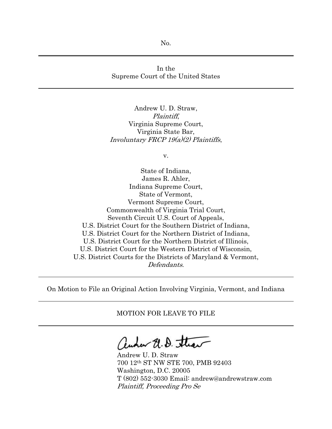No.

## In the Supreme Court of the United States

Andrew U. D. Straw, Plaintiff, Virginia Supreme Court, Virginia State Bar, Involuntary FRCP 19(a)(2) Plaintiffs,

v.

State of Indiana, James R. Ahler, Indiana Supreme Court, State of Vermont, Vermont Supreme Court, Commonwealth of Virginia Trial Court, Seventh Circuit U.S. Court of Appeals, U.S. District Court for the Southern District of Indiana, U.S. District Court for the Northern District of Indiana, U.S. District Court for the Northern District of Illinois, U.S. District Court for the Western District of Wisconsin, U.S. District Courts for the Districts of Maryland & Vermont, Defendants.

On Motion to File an Original Action Involving Virginia, Vermont, and Indiana

MOTION FOR LEAVE TO FILE

autor U.D. Straw

Andrew U. D. Straw 700 12th ST NW STE 700, PMB 92403 Washington, D.C. 20005 T (802) 552-3030 Email: andrew@andrewstraw.com Plaintiff, Proceeding Pro Se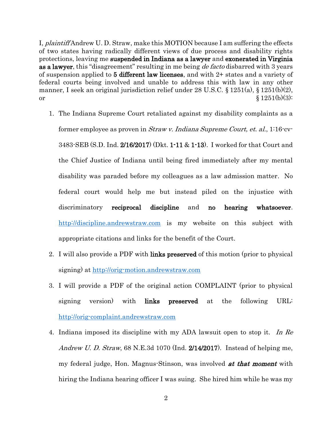I, plaintiff Andrew U. D. Straw, make this MOTION because I am suffering the effects of two states having radically different views of due process and disability rights protections, leaving me suspended in Indiana as a lawyer and exonerated in Virginia as a lawyer, this "disagreement" resulting in me being *de facto* disbarred with 3 years of suspension applied to 5 different law licenses, and with 2+ states and a variety of federal courts being involved and unable to address this with law in any other manner, I seek an original jurisdiction relief under 28 U.S.C. § 1251(a), § 1251(b)(2), or  $\S 1251(b)(3)$ :

- 1. The Indiana Supreme Court retaliated against my disability complaints as a former employee as proven in *Straw v. Indiana Supreme Court, et. al.*, 1:16-cv-3483-SEB (S.D. Ind. 2/16/2017) (Dkt. 1-11 & 1-13). I worked for that Court and the Chief Justice of Indiana until being fired immediately after my mental disability was paraded before my colleagues as a law admission matter. No federal court would help me but instead piled on the injustice with discriminatory reciprocal discipline and no hearing whatsoever. [http://discipline.andrewstraw.com](http://discipline.andrewstraw.com/) is my website on this subject with appropriate citations and links for the benefit of the Court.
- 2. I will also provide a PDF with links preserved of this motion (prior to physical signing) at [http://orig-motion.andrewstraw.com](http://orig-motion.andrewstraw.com/)
- 3. I will provide a PDF of the original action COMPLAINT (prior to physical signing version) with links preserved at the following URL: [http://orig-complaint.andrewstraw.com](http://orig-complaint.andrewstraw.com/)
- 4. Indiana imposed its discipline with my ADA lawsuit open to stop it. In Re Andrew U. D. Straw, 68 N.E.3d 1070 (Ind. 2/14/2017). Instead of helping me, my federal judge, Hon. Magnus-Stinson, was involved **at that moment** with hiring the Indiana hearing officer I was suing. She hired him while he was my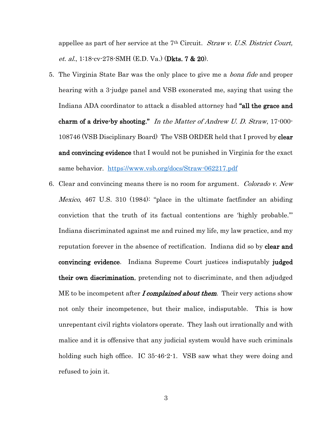appellee as part of her service at the 7<sup>th</sup> Circuit. *Straw v. U.S. District Court*, et. al., 1:18-cv-278-SMH (E.D. Va.) (Dkts. 7 & 20).

- 5. The Virginia State Bar was the only place to give me a bona fide and proper hearing with a 3-judge panel and VSB exonerated me, saying that using the Indiana ADA coordinator to attack a disabled attorney had "all the grace and charm of a drive-by shooting." In the Matter of Andrew U. D. Straw, 17-000-108746 (VSB Disciplinary Board) The VSB ORDER held that I proved by clear and convincing evidence that I would not be punished in Virginia for the exact same behavior. <https://www.vsb.org/docs/Straw-062217.pdf>
- 6. Clear and convincing means there is no room for argument. *Colorado v. New* Mexico, 467 U.S. 310 (1984): "place in the ultimate factfinder an abiding conviction that the truth of its factual contentions are 'highly probable.'" Indiana discriminated against me and ruined my life, my law practice, and my reputation forever in the absence of rectification. Indiana did so by **clear and** convincing evidence. Indiana Supreme Court justices indisputably judged their own discrimination, pretending not to discriminate, and then adjudged ME to be incompetent after *I complained about them*. Their very actions show not only their incompetence, but their malice, indisputable. This is how unrepentant civil rights violators operate. They lash out irrationally and with malice and it is offensive that any judicial system would have such criminals holding such high office. IC 35-46-2-1. VSB saw what they were doing and refused to join it.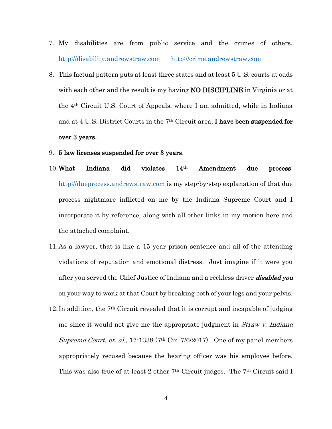- 7. My disabilities are from public service and the crimes of others. [http://disability.andrewstraw.com](http://disability.andrewstraw.com/) [http://crime.andrewstraw.com](http://crime.andrewstraw.com/)
- 8. This factual pattern puts at least three states and at least 5 U.S. courts at odds with each other and the result is my having **NO DISCIPLINE** in Virginia or at the 4th Circuit U.S. Court of Appeals, where I am admitted, while in Indiana and at 4 U.S. District Courts in the  $7<sup>th</sup>$  Circuit area, **I have been suspended for** over 3 years.
- 9. 5 law licenses suspended for over 3 years.
- 10.What Indiana did violates 14th Amendment due process: [http://dueprocess.andrewstraw.com](http://dueprocess.andrewstraw.com/) is my step-by-step explanation of that due process nightmare inflicted on me by the Indiana Supreme Court and I incorporate it by reference, along with all other links in my motion here and the attached complaint.
- 11.As a lawyer, that is like a 15 year prison sentence and all of the attending violations of reputation and emotional distress. Just imagine if it were you after you served the Chief Justice of Indiana and a reckless driver **disabled you** on your way to work at that Court by breaking both of your legs and your pelvis.
- 12.In addition, the 7th Circuit revealed that it is corrupt and incapable of judging me since it would not give me the appropriate judgment in *Straw v. Indiana* Supreme Court, et. al., 17-1338 (7<sup>th</sup> Cir. 7/6/2017). One of my panel members appropriately recused because the hearing officer was his employee before. This was also true of at least 2 other 7<sup>th</sup> Circuit judges. The 7<sup>th</sup> Circuit said I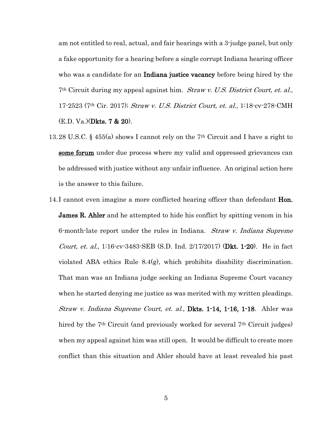am not entitled to real, actual, and fair hearings with a 3-judge panel, but only a fake opportunity for a hearing before a single corrupt Indiana hearing officer who was a candidate for an **Indiana justice vacancy** before being hired by the 7th Circuit during my appeal against him. Straw v. U.S. District Court, et. al., 17-2523 (7th Cir. 2017); Straw v. U.S. District Court, et. al., 1:18-cv-278-CMH (E.D. Va.)(Dkts. 7 & 20).

- 13.28 U.S.C. § 455(a) shows I cannot rely on the 7th Circuit and I have a right to some forum under due process where my valid and oppressed grievances can be addressed with justice without any unfair influence. An original action here is the answer to this failure.
- 14.I cannot even imagine a more conflicted hearing officer than defendant **Hon. James R. Ahler** and he attempted to hide his conflict by spitting venom in his 6-month-late report under the rules in Indiana. *Straw v. Indiana Supreme Court, et. al.*,  $1:16$ <sup>-</sup>cv<sup>-3483</sub>-SEB (S.D. Ind.  $2/17/2017$ ) (**Dkt. 1-20**). He in fact</sup> violated ABA ethics Rule 8.4(g), which prohibits disability discrimination. That man was an Indiana judge seeking an Indiana Supreme Court vacancy when he started denying me justice as was merited with my written pleadings. Straw v. Indiana Supreme Court, et. al., Dkts. 1-14, 1-16, 1-18. Ahler was hired by the 7<sup>th</sup> Circuit (and previously worked for several 7<sup>th</sup> Circuit judges) when my appeal against him was still open. It would be difficult to create more conflict than this situation and Ahler should have at least revealed his past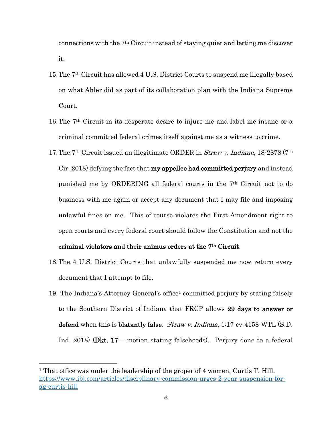connections with the 7th Circuit instead of staying quiet and letting me discover it.

- 15.The 7th Circuit has allowed 4 U.S. District Courts to suspend me illegally based on what Ahler did as part of its collaboration plan with the Indiana Supreme Court.
- 16.The 7th Circuit in its desperate desire to injure me and label me insane or a criminal committed federal crimes itself against me as a witness to crime.
- 17.The 7th Circuit issued an illegitimate ORDER in Straw v. Indiana, 18-2878 (7th Cir. 2018) defying the fact that my appellee had committed perjury and instead punished me by ORDERING all federal courts in the 7th Circuit not to do business with me again or accept any document that I may file and imposing unlawful fines on me. This of course violates the First Amendment right to open courts and every federal court should follow the Constitution and not the

## criminal violators and their animus orders at the 7th Circuit.

- 18.The 4 U.S. District Courts that unlawfully suspended me now return every document that I attempt to file.
- 19. The Indiana's Attorney General's office<sup>1</sup> committed perjury by stating falsely to the Southern District of Indiana that FRCP allows 29 days to answer or defend when this is blatantly false.  $Straw$  v. Indiana,  $1:17$ -cv- $4158$ -WTL (S.D. Ind. 2018) (Dkt. 17 – motion stating falsehoods). Perjury done to a federal

<sup>&</sup>lt;sup>1</sup> That office was under the leadership of the groper of 4 women, Curtis T. Hill. [https://www.ibj.com/articles/disciplinary-commission-urges-2-year-suspension-for](https://www.ibj.com/articles/disciplinary-commission-urges-2-year-suspension-for-ag-curtis-hill)[ag-curtis-hill](https://www.ibj.com/articles/disciplinary-commission-urges-2-year-suspension-for-ag-curtis-hill)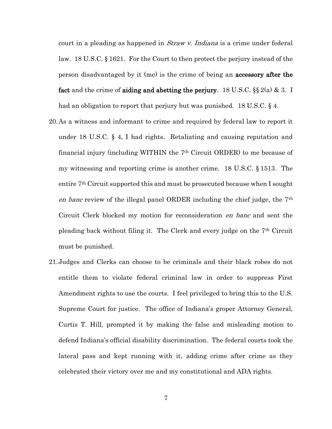court in a pleading as happened in *Straw v. Indiana* is a crime under federal law. 18 U.S.C. § 1621. For the Court to then protect the perjury instead of the person disadvantaged by it (me) is the crime of being an accessory after the fact and the crime of aiding and abetting the perjury. 18 U.S.C.  $\S\S 2(a) \& 3$ . I had an obligation to report that perjury but was punished. 18 U.S.C. § 4.

- 20.As a witness and informant to crime and required by federal law to report it under 18 U.S.C. § 4, I had rights. Retaliating and causing reputation and financial injury (including WITHIN the 7th Circuit ORDER) to me because of my witnessing and reporting crime is another crime. 18 U.S.C. § 1513. The entire 7th Circuit supported this and must be prosecuted because when I sought en banc review of the illegal panel ORDER including the chief judge, the 7th Circuit Clerk blocked my motion for reconsideration en banc and sent the pleading back without filing it. The Clerk and every judge on the 7th Circuit must be punished.
- 21.Judges and Clerks can choose to be criminals and their black robes do not entitle them to violate federal criminal law in order to suppress First Amendment rights to use the courts. I feel privileged to bring this to the U.S. Supreme Court for justice. The office of Indiana's groper Attorney General, Curtis T. Hill, prompted it by making the false and misleading motion to defend Indiana's official disability discrimination. The federal courts took the lateral pass and kept running with it, adding crime after crime as they celebrated their victory over me and my constitutional and ADA rights.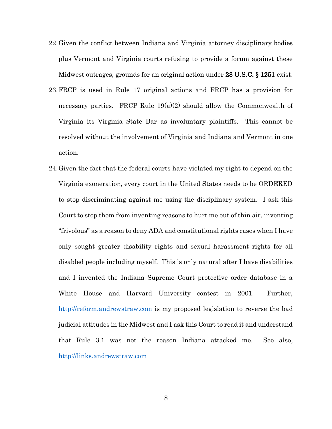- 22.Given the conflict between Indiana and Virginia attorney disciplinary bodies plus Vermont and Virginia courts refusing to provide a forum against these Midwest outrages, grounds for an original action under 28 U.S.C. § 1251 exist.
- 23.FRCP is used in Rule 17 original actions and FRCP has a provision for necessary parties. FRCP Rule  $19(a)(2)$  should allow the Commonwealth of Virginia its Virginia State Bar as involuntary plaintiffs. This cannot be resolved without the involvement of Virginia and Indiana and Vermont in one action.
- 24.Given the fact that the federal courts have violated my right to depend on the Virginia exoneration, every court in the United States needs to be ORDERED to stop discriminating against me using the disciplinary system. I ask this Court to stop them from inventing reasons to hurt me out of thin air, inventing "frivolous" as a reason to deny ADA and constitutional rights cases when I have only sought greater disability rights and sexual harassment rights for all disabled people including myself. This is only natural after I have disabilities and I invented the Indiana Supreme Court protective order database in a White House and Harvard University contest in 2001. Further, [http://reform.andrewstraw.com](http://reform.andrewstraw.com/) is my proposed legislation to reverse the bad judicial attitudes in the Midwest and I ask this Court to read it and understand that Rule 3.1 was not the reason Indiana attacked me. See also, [http://links.andrewstraw.com](http://links.andrewstraw.com/)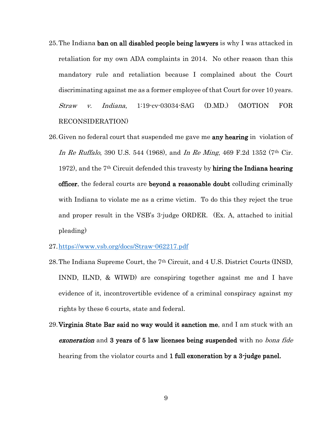- 25. The Indiana ban on all disabled people being lawyers is why I was attacked in retaliation for my own ADA complaints in 2014. No other reason than this mandatory rule and retaliation because I complained about the Court discriminating against me as a former employee of that Court for over 10 years. Straw v. Indiana, 1:19-cv-03034-SAG (D.MD.) (MOTION FOR RECONSIDERATION)
- 26. Given no federal court that suspended me gave me **any hearing** in violation of In Re Ruffalo, 390 U.S. 544 (1968), and In Re Ming, 469 F.2d 1352 (7<sup>th</sup> Cir. 1972), and the  $7<sup>th</sup>$  Circuit defended this travesty by **hiring the Indiana hearing** officer, the federal courts are beyond a reasonable doubt colluding criminally with Indiana to violate me as a crime victim. To do this they reject the true and proper result in the VSB's 3-judge ORDER. (Ex. A, attached to initial pleading)
- 27[.https://www.vsb.org/docs/Straw-062217.pdf](https://www.vsb.org/docs/Straw-062217.pdf)
- 28.The Indiana Supreme Court, the 7th Circuit, and 4 U.S. District Courts (INSD, INND, ILND, & WIWD) are conspiring together against me and I have evidence of it, incontrovertible evidence of a criminal conspiracy against my rights by these 6 courts, state and federal.
- 29.Virginia State Bar said no way would it sanction me, and I am stuck with an **exoneration** and 3 years of 5 law licenses being suspended with no *bona fide* hearing from the violator courts and 1 full exoneration by a 3-judge panel.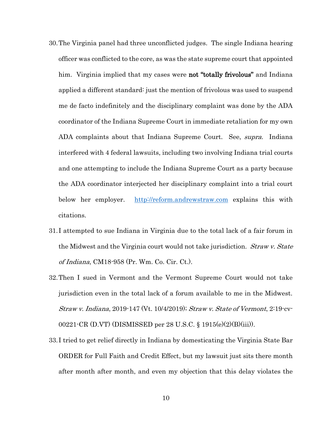- 30.The Virginia panel had three unconflicted judges. The single Indiana hearing officer was conflicted to the core, as was the state supreme court that appointed him. Virginia implied that my cases were **not "totally frivolous"** and Indiana applied a different standard: just the mention of frivolous was used to suspend me de facto indefinitely and the disciplinary complaint was done by the ADA coordinator of the Indiana Supreme Court in immediate retaliation for my own ADA complaints about that Indiana Supreme Court. See, *supra*. Indiana interfered with 4 federal lawsuits, including two involving Indiana trial courts and one attempting to include the Indiana Supreme Court as a party because the ADA coordinator interjected her disciplinary complaint into a trial court below her employer. [http://reform.andrewstraw.com](http://reform.andrewstraw.com/) explains this with citations.
- 31.I attempted to sue Indiana in Virginia due to the total lack of a fair forum in the Midwest and the Virginia court would not take jurisdiction. *Straw v. State* of Indiana, CM18-958 (Pr. Wm. Co. Cir. Ct.).
- 32.Then I sued in Vermont and the Vermont Supreme Court would not take jurisdiction even in the total lack of a forum available to me in the Midwest. Straw v. Indiana, 2019-147 (Vt. 10/4/2019); Straw v. State of Vermont, 2:19-cv-00221-CR (D.VT) (DISMISSED per 28 U.S.C. § 1915(e)(2)(B)(iii)).
- 33.I tried to get relief directly in Indiana by domesticating the Virginia State Bar ORDER for Full Faith and Credit Effect, but my lawsuit just sits there month after month after month, and even my objection that this delay violates the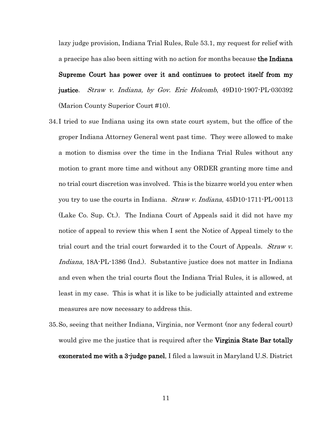lazy judge provision, Indiana Trial Rules, Rule 53.1, my request for relief with a praecipe has also been sitting with no action for months because the Indiana

Supreme Court has power over it and continues to protect itself from my justice. Straw v. Indiana, by Gov. Eric Holcomb, 49D10-1907-PL-030392 (Marion County Superior Court #10).

- 34.I tried to sue Indiana using its own state court system, but the office of the groper Indiana Attorney General went past time. They were allowed to make a motion to dismiss over the time in the Indiana Trial Rules without any motion to grant more time and without any ORDER granting more time and no trial court discretion was involved. This is the bizarre world you enter when you try to use the courts in Indiana. *Straw v. Indiana*, 45D10-1711-PL-00113 (Lake Co. Sup. Ct.). The Indiana Court of Appeals said it did not have my notice of appeal to review this when I sent the Notice of Appeal timely to the trial court and the trial court forwarded it to the Court of Appeals. *Straw v.* Indiana, 18A-PL-1386 (Ind.). Substantive justice does not matter in Indiana and even when the trial courts flout the Indiana Trial Rules, it is allowed, at least in my case. This is what it is like to be judicially attainted and extreme measures are now necessary to address this.
- 35.So, seeing that neither Indiana, Virginia, nor Vermont (nor any federal court) would give me the justice that is required after the **Virginia State Bar totally** exonerated me with a 3-judge panel, I filed a lawsuit in Maryland U.S. District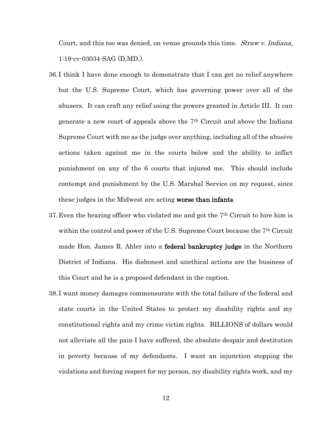Court, and this too was denied, on venue grounds this time. Straw v. Indiana, 1:19-cv-03034-SAG (D.MD.).

- 36.I think I have done enough to demonstrate that I can get no relief anywhere but the U.S. Supreme Court, which has governing power over all of the abusers. It can craft any relief using the powers granted in Article III. It can generate a new court of appeals above the  $7<sup>th</sup>$  Circuit and above the Indiana Supreme Court with me as the judge over anything, including all of the abusive actions taken against me in the courts below and the ability to inflict punishment on any of the 6 courts that injured me. This should include contempt and punishment by the U.S. Marshal Service on my request, since these judges in the Midwest are acting worse than infants.
- 37. Even the hearing officer who violated me and got the  $7<sup>th</sup>$  Circuit to hire him is within the control and power of the U.S. Supreme Court because the 7th Circuit made Hon. James R. Ahler into a **federal bankruptcy judge** in the Northern District of Indiana. His dishonest and unethical actions are the business of this Court and he is a proposed defendant in the caption.
- 38.I want money damages commensurate with the total failure of the federal and state courts in the United States to protect my disability rights and my constitutional rights and my crime victim rights. BILLIONS of dollars would not alleviate all the pain I have suffered, the absolute despair and destitution in poverty because of my defendants. I want an injunction stopping the violations and forcing respect for my person, my disability rights work, and my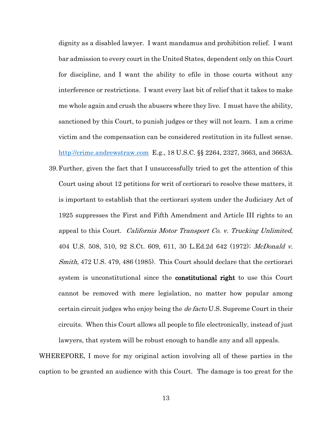dignity as a disabled lawyer. I want mandamus and prohibition relief. I want bar admission to every court in the United States, dependent only on this Court for discipline, and I want the ability to efile in those courts without any interference or restrictions. I want every last bit of relief that it takes to make me whole again and crush the abusers where they live. I must have the ability, sanctioned by this Court, to punish judges or they will not learn. I am a crime victim and the compensation can be considered restitution in its fullest sense. [http://crime.andrewstraw.com](http://crime.andrewstraw.com/) E.g., 18 U.S.C. §§ 2264, 2327, 3663, and 3663A. 39.Further, given the fact that I unsuccessfully tried to get the attention of this Court using about 12 petitions for writ of certiorari to resolve these matters, it is important to establish that the certiorari system under the Judiciary Act of 1925 suppresses the First and Fifth Amendment and Article III rights to an appeal to this Court. California Motor Transport Co. v. Trucking Unlimited, 404 U.S. 508, 510, 92 S.Ct. 609, 611, 30 L.Ed.2d 642 (1972); McDonald v. Smith, 472 U.S. 479, 486 (1985). This Court should declare that the certiorari system is unconstitutional since the **constitutional right** to use this Court cannot be removed with mere legislation, no matter how popular among certain circuit judges who enjoy being the *de facto* U.S. Supreme Court in their circuits. When this Court allows all people to file electronically, instead of just

WHEREFORE, I move for my original action involving all of these parties in the caption to be granted an audience with this Court. The damage is too great for the

lawyers, that system will be robust enough to handle any and all appeals.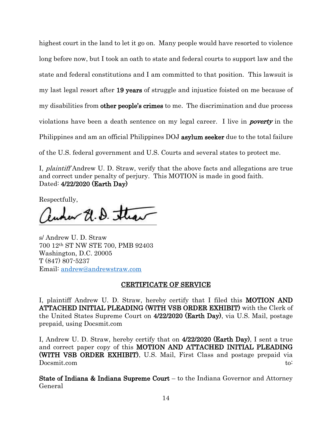highest court in the land to let it go on. Many people would have resorted to violence long before now, but I took an oath to state and federal courts to support law and the state and federal constitutions and I am committed to that position. This lawsuit is my last legal resort after 19 years of struggle and injustice foisted on me because of my disabilities from **other people's crimes** to me. The discrimination and due process violations have been a death sentence on my legal career. I live in *poverty* in the Philippines and am an official Philippines DOJ asylum seeker due to the total failure of the U.S. federal government and U.S. Courts and several states to protect me.

I, plaintiff Andrew U. D. Straw, verify that the above facts and allegations are true and correct under penalty of perjury. This MOTION is made in good faith. Dated: 4/22/2020 (Earth Day)

Respectfully,

Runner El. D. Straw

s/ Andrew U. D. Straw 700 12th ST NW STE 700, PMB 92403 Washington, D.C. 20005 T (847) 807-5237 Email: [andrew@andrewstraw.com](mailto:andrew@andrewstraw.com)

## CERTIFICATE OF SERVICE

I, plaintiff Andrew U. D. Straw, hereby certify that I filed this MOTION AND ATTACHED INITIAL PLEADING (WITH VSB ORDER EXHIBIT) with the Clerk of the United States Supreme Court on 4/22/2020 (Earth Day), via U.S. Mail, postage prepaid, using Docsmit.com

I, Andrew U. D. Straw, hereby certify that on 4/22/2020 (Earth Day), I sent a true and correct paper copy of this MOTION AND ATTACHED INITIAL PLEADING (WITH VSB ORDER EXHIBIT), U.S. Mail, First Class and postage prepaid via Docsmit.com to:

State of Indiana & Indiana Supreme Court – to the Indiana Governor and Attorney General